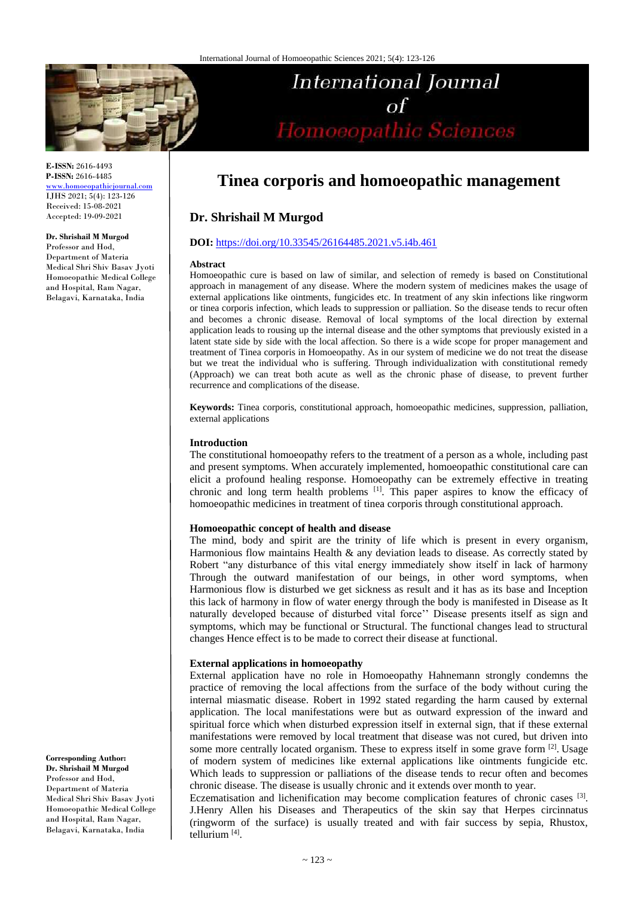

**E-ISSN:** 2616-4493 **P-ISSN:** 2616-4485 [www.homoeopathicjournal.com](file://Server/test/homoeopathicjournal/issue/vol%204/issue%201/www.homoeopathicjournal.com)

IJHS 2021; 5(4): 123-126 Received: 15-08-2021 Accepted: 19-09-2021

#### **Dr. Shrishail M Murgod**

Professor and Hod, Department of Materia Medical Shri Shiv Basav Jyoti Homoeopathic Medical College and Hospital, Ram Nagar, Belagavi, Karnataka, India

of<br>Homoeopathic Sciences

**International Journal** 

 $\sigma$ f

# **Tinea corporis and homoeopathic management**

## **Dr. Shrishail M Murgod**

## **DOI:** <https://doi.org/10.33545/26164485.2021.v5.i4b.461>

#### **Abstract**

Homoeopathic cure is based on law of similar, and selection of remedy is based on Constitutional approach in management of any disease. Where the modern system of medicines makes the usage of external applications like ointments, fungicides etc. In treatment of any skin infections like ringworm or tinea corporis infection, which leads to suppression or palliation. So the disease tends to recur often and becomes a chronic disease. Removal of local symptoms of the local direction by external application leads to rousing up the internal disease and the other symptoms that previously existed in a latent state side by side with the local affection. So there is a wide scope for proper management and treatment of Tinea corporis in Homoeopathy. As in our system of medicine we do not treat the disease but we treat the individual who is suffering. Through individualization with constitutional remedy (Approach) we can treat both acute as well as the chronic phase of disease, to prevent further recurrence and complications of the disease.

**Keywords:** Tinea corporis, constitutional approach, homoeopathic medicines, suppression, palliation, external applications

### **Introduction**

The constitutional homoeopathy refers to the treatment of a person as a whole, including past and present symptoms. When accurately implemented, homoeopathic constitutional care can elicit a profound healing response. Homoeopathy can be extremely effective in treating chronic and long term health problems <sup>[1]</sup>. This paper aspires to know the efficacy of homoeopathic medicines in treatment of tinea corporis through constitutional approach.

#### **Homoeopathic concept of health and disease**

The mind, body and spirit are the trinity of life which is present in every organism, Harmonious flow maintains Health  $\&$  any deviation leads to disease. As correctly stated by Robert "any disturbance of this vital energy immediately show itself in lack of harmony Through the outward manifestation of our beings, in other word symptoms, when Harmonious flow is disturbed we get sickness as result and it has as its base and Inception this lack of harmony in flow of water energy through the body is manifested in Disease as It naturally developed because of disturbed vital force'' Disease presents itself as sign and symptoms, which may be functional or Structural. The functional changes lead to structural changes Hence effect is to be made to correct their disease at functional.

#### **External applications in homoeopathy**

External application have no role in Homoeopathy Hahnemann strongly condemns the practice of removing the local affections from the surface of the body without curing the internal miasmatic disease. Robert in 1992 stated regarding the harm caused by external application. The local manifestations were but as outward expression of the inward and spiritual force which when disturbed expression itself in external sign, that if these external manifestations were removed by local treatment that disease was not cured, but driven into some more centrally located organism. These to express itself in some grave form <sup>[2]</sup>. Usage of modern system of medicines like external applications like ointments fungicide etc. Which leads to suppression or palliations of the disease tends to recur often and becomes chronic disease. The disease is usually chronic and it extends over month to year.

Eczematisation and lichenification may become complication features of chronic cases [3]. J.Henry Allen his Diseases and Therapeutics of the skin say that Herpes circinnatus (ringworm of the surface) is usually treated and with fair success by sepia, Rhustox, tellurium [4] .

**Corresponding Author: Dr. Shrishail M Murgod** Professor and Hod, Department of Materia Medical Shri Shiv Basav Jyoti Homoeopathic Medical College and Hospital, Ram Nagar, Belagavi, Karnataka, India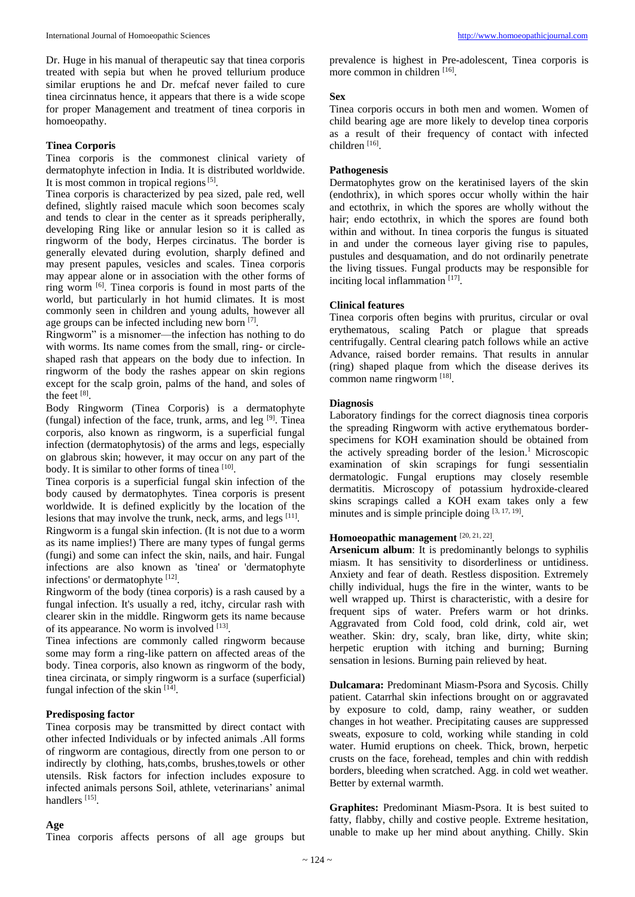Dr. Huge in his manual of therapeutic say that tinea corporis treated with sepia but when he proved tellurium produce similar eruptions he and Dr. mefcaf never failed to cure tinea circinnatus hence, it appears that there is a wide scope for proper Management and treatment of tinea corporis in homoeopathy.

## **Tinea Corporis**

Tinea corporis is the commonest clinical variety of dermatophyte infection in India. It is distributed worldwide. It is most common in tropical regions  $[5]$ .

Tinea corporis is characterized by pea sized, pale red, well defined, slightly raised macule which soon becomes scaly and tends to clear in the center as it spreads peripherally, developing Ring like or annular lesion so it is called as ringworm of the body, Herpes circinatus. The border is generally elevated during evolution, sharply defined and may present papules, vesicles and scales. Tinea corporis may appear alone or in association with the other forms of ring worm [6] . Tinea corporis is found in most parts of the world, but particularly in hot humid climates. It is most commonly seen in children and young adults, however all age groups can be infected including new born [7].

Ringworm" is a misnomer—the infection has nothing to do with worms. Its name comes from the small, ring- or circleshaped rash that appears on the body due to infection. In ringworm of the body the rashes appear on skin regions except for the scalp groin, palms of the hand, and soles of the feet [8].

Body Ringworm (Tinea Corporis) is a dermatophyte (fungal) infection of the face, trunk, arms, and leg  $[9]$ . Tinea corporis, also known as ringworm, is a superficial fungal infection (dermatophytosis) of the arms and legs, especially on glabrous skin; however, it may occur on any part of the body. It is similar to other forms of tinea [10].

Tinea corporis is a superficial fungal skin infection of the body caused by dermatophytes. Tinea corporis is present worldwide. It is defined explicitly by the location of the lesions that may involve the trunk, neck, arms, and legs [11].

Ringworm is a fungal skin infection. (It is not due to a worm as its name implies!) There are many types of fungal germs (fungi) and some can infect the skin, nails, and hair. Fungal infections are also known as 'tinea' or 'dermatophyte infections' or dermatophyte [12].

Ringworm of the body (tinea corporis) is a rash caused by a fungal infection. It's usually a red, itchy, circular rash with clearer skin in the middle. Ringworm gets its name because of its appearance. No worm is involved [13].

Tinea infections are commonly called ringworm because some may form a ring-like pattern on affected areas of the body. Tinea corporis, also known as ringworm of the body, tinea circinata, or simply ringworm is a surface (superficial) fungal infection of the skin  $[14]$ .

#### **Predisposing factor**

Tinea corposis may be transmitted by direct contact with other infected Individuals or by infected animals .All forms of ringworm are contagious, directly from one person to or indirectly by clothing, hats,combs, brushes,towels or other utensils. Risk factors for infection includes exposure to infected animals persons Soil, athlete, veterinarians' animal handlers<sup>[15]</sup>.

#### **Age**

Tinea corporis affects persons of all age groups but

prevalence is highest in Pre-adolescent, Tinea corporis is more common in children [16].

#### **Sex**

Tinea corporis occurs in both men and women. Women of child bearing age are more likely to develop tinea corporis as a result of their frequency of contact with infected children [16].

## **Pathogenesis**

Dermatophytes grow on the keratinised layers of the skin (endothrix), in which spores occur wholly within the hair and ectothrix, in which the spores are wholly without the hair; endo ectothrix, in which the spores are found both within and without. In tinea corporis the fungus is situated in and under the corneous layer giving rise to papules, pustules and desquamation, and do not ordinarily penetrate the living tissues. Fungal products may be responsible for inciting local inflammation [17].

## **Clinical features**

Tinea corporis often begins with pruritus, circular or oval erythematous, scaling Patch or plague that spreads centrifugally. Central clearing patch follows while an active Advance, raised border remains. That results in annular (ring) shaped plaque from which the disease derives its common name ringworm [18].

#### **Diagnosis**

Laboratory findings for the correct diagnosis tinea corporis the spreading Ringworm with active erythematous borderspecimens for KOH examination should be obtained from the actively spreading border of the lesion.<sup>1</sup> Microscopic examination of skin scrapings for fungi sessentialin dermatologic. Fungal eruptions may closely resemble dermatitis. Microscopy of potassium hydroxide-cleared skins scrapings called a KOH exam takes only a few minutes and is simple principle doing [3, 17, 19].

## **Homoeopathic management** [20, 21, 22] .

**Arsenicum album**: It is predominantly belongs to syphilis miasm. It has sensitivity to disorderliness or untidiness. Anxiety and fear of death. Restless disposition. Extremely chilly individual, hugs the fire in the winter, wants to be well wrapped up. Thirst is characteristic, with a desire for frequent sips of water. Prefers warm or hot drinks. Aggravated from Cold food, cold drink, cold air, wet weather. Skin: dry, scaly, bran like, dirty, white skin; herpetic eruption with itching and burning; Burning sensation in lesions. Burning pain relieved by heat.

**Dulcamara:** Predominant Miasm-Psora and Sycosis. Chilly patient. Catarrhal skin infections brought on or aggravated by exposure to cold, damp, rainy weather, or sudden changes in hot weather. Precipitating causes are suppressed sweats, exposure to cold, working while standing in cold water. Humid eruptions on cheek. Thick, brown, herpetic crusts on the face, forehead, temples and chin with reddish borders, bleeding when scratched. Agg. in cold wet weather. Better by external warmth.

**Graphites:** Predominant Miasm-Psora. It is best suited to fatty, flabby, chilly and costive people. Extreme hesitation, unable to make up her mind about anything. Chilly. Skin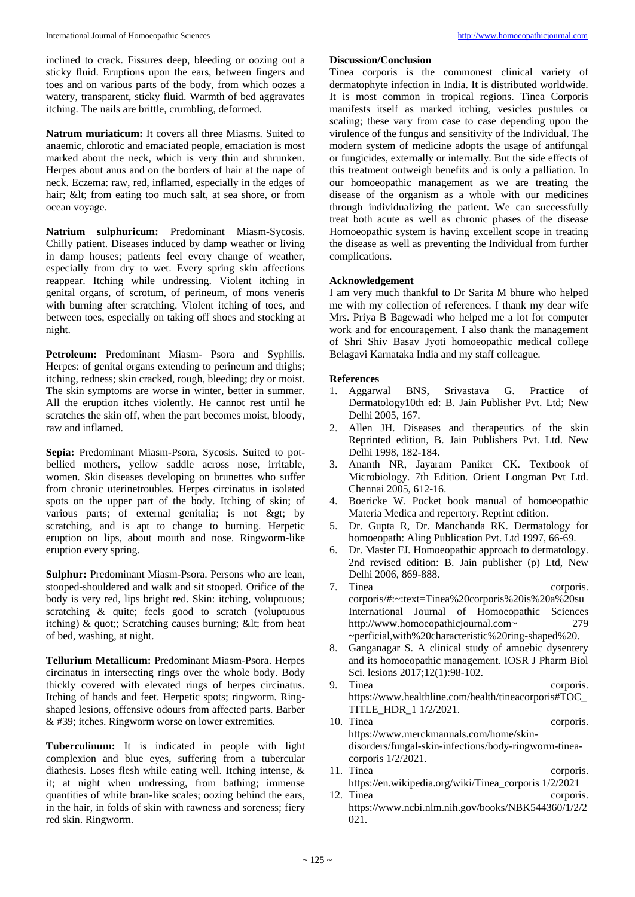inclined to crack. Fissures deep, bleeding or oozing out a sticky fluid. Eruptions upon the ears, between fingers and toes and on various parts of the body, from which oozes a watery, transparent, sticky fluid. Warmth of bed aggravates itching. The nails are brittle, crumbling, deformed.

**Natrum muriaticum:** It covers all three Miasms. Suited to anaemic, chlorotic and emaciated people, emaciation is most marked about the neck, which is very thin and shrunken. Herpes about anus and on the borders of hair at the nape of neck. Eczema: raw, red, inflamed, especially in the edges of hair; < from eating too much salt, at sea shore, or from ocean voyage.

**Natrium sulphuricum:** Predominant Miasm-Sycosis. Chilly patient. Diseases induced by damp weather or living in damp houses; patients feel every change of weather, especially from dry to wet. Every spring skin affections reappear. Itching while undressing. Violent itching in genital organs, of scrotum, of perineum, of mons veneris with burning after scratching. Violent itching of toes, and between toes, especially on taking off shoes and stocking at night.

**Petroleum:** Predominant Miasm- Psora and Syphilis. Herpes: of genital organs extending to perineum and thighs; itching, redness; skin cracked, rough, bleeding; dry or moist. The skin symptoms are worse in winter, better in summer. All the eruption itches violently. He cannot rest until he scratches the skin off, when the part becomes moist, bloody, raw and inflamed.

**Sepia:** Predominant Miasm-Psora, Sycosis. Suited to potbellied mothers, yellow saddle across nose, irritable, women. Skin diseases developing on brunettes who suffer from chronic uterinetroubles. Herpes circinatus in isolated spots on the upper part of the body. Itching of skin; of various parts; of external genitalia; is not  $\&$ gt; by scratching, and is apt to change to burning. Herpetic eruption on lips, about mouth and nose. Ringworm-like eruption every spring.

**Sulphur:** Predominant Miasm-Psora. Persons who are lean, stooped-shouldered and walk and sit stooped. Orifice of the body is very red, lips bright red. Skin: itching, voluptuous; scratching & quite; feels good to scratch (voluptuous itching)  $\&$  quot;; Scratching causes burning;  $\&$ lt; from heat of bed, washing, at night.

**Tellurium Metallicum:** Predominant Miasm-Psora. Herpes circinatus in intersecting rings over the whole body. Body thickly covered with elevated rings of herpes circinatus. Itching of hands and feet. Herpetic spots; ringworm. Ringshaped lesions, offensive odours from affected parts. Barber & #39; itches. Ringworm worse on lower extremities.

**Tuberculinum:** It is indicated in people with light complexion and blue eyes, suffering from a tubercular diathesis. Loses flesh while eating well. Itching intense, & it; at night when undressing, from bathing; immense quantities of white bran-like scales; oozing behind the ears, in the hair, in folds of skin with rawness and soreness; fiery red skin. Ringworm.

## **Discussion/Conclusion**

Tinea corporis is the commonest clinical variety of dermatophyte infection in India. It is distributed worldwide. It is most common in tropical regions. Tinea Corporis manifests itself as marked itching, vesicles pustules or scaling; these vary from case to case depending upon the virulence of the fungus and sensitivity of the Individual. The modern system of medicine adopts the usage of antifungal or fungicides, externally or internally. But the side effects of this treatment outweigh benefits and is only a palliation. In our homoeopathic management as we are treating the disease of the organism as a whole with our medicines through individualizing the patient. We can successfully treat both acute as well as chronic phases of the disease Homoeopathic system is having excellent scope in treating the disease as well as preventing the Individual from further complications.

## **Acknowledgement**

I am very much thankful to Dr Sarita M bhure who helped me with my collection of references. I thank my dear wife Mrs. Priya B Bagewadi who helped me a lot for computer work and for encouragement. I also thank the management of Shri Shiv Basav Jyoti homoeopathic medical college Belagavi Karnataka India and my staff colleague.

## **References**

- 1. Aggarwal BNS, Srivastava G. Practice of Dermatology10th ed: B. Jain Publisher Pvt. Ltd; New Delhi 2005, 167.
- 2. Allen JH. Diseases and therapeutics of the skin Reprinted edition, B. Jain Publishers Pvt. Ltd. New Delhi 1998, 182-184.
- 3. Ananth NR, Jayaram Paniker CK. Textbook of Microbiology. 7th Edition. Orient Longman Pvt Ltd. Chennai 2005, 612-16.
- 4. Boericke W. Pocket book manual of homoeopathic Materia Medica and repertory. Reprint edition.
- 5. Dr. Gupta R, Dr. Manchanda RK. Dermatology for homoeopath: Aling Publication Pvt. Ltd 1997, 66-69.
- 6. Dr. Master FJ. Homoeopathic approach to dermatology. 2nd revised edition: B. Jain publisher (p) Ltd, New Delhi 2006, 869-888.
- 7. Tinea corporis. corporis/#:~:text=Tinea%20corporis%20is%20a%20su International Journal of Homoeopathic Sciences http://www.homoeopathicjournal.com~ 279 ~perficial,with%20characteristic%20ring-shaped%20.
- 8. Ganganagar S. A clinical study of amoebic dysentery and its homoeopathic management. IOSR J Pharm Biol Sci. lesions 2017;12(1):98-102.
- 9. Tinea corporis. https://www.healthline.com/health/tineacorporis#TOC\_ TITLE\_HDR\_1 1/2/2021.
- 10. Tinea corporis. https://www.merckmanuals.com/home/skindisorders/fungal-skin-infections/body-ringworm-tineacorporis 1/2/2021.
- 11. Tinea corporis. https://en.wikipedia.org/wiki/Tinea\_corporis 1/2/2021
- 12. Tinea corporis. https://www.ncbi.nlm.nih.gov/books/NBK544360/1/2/2 021.